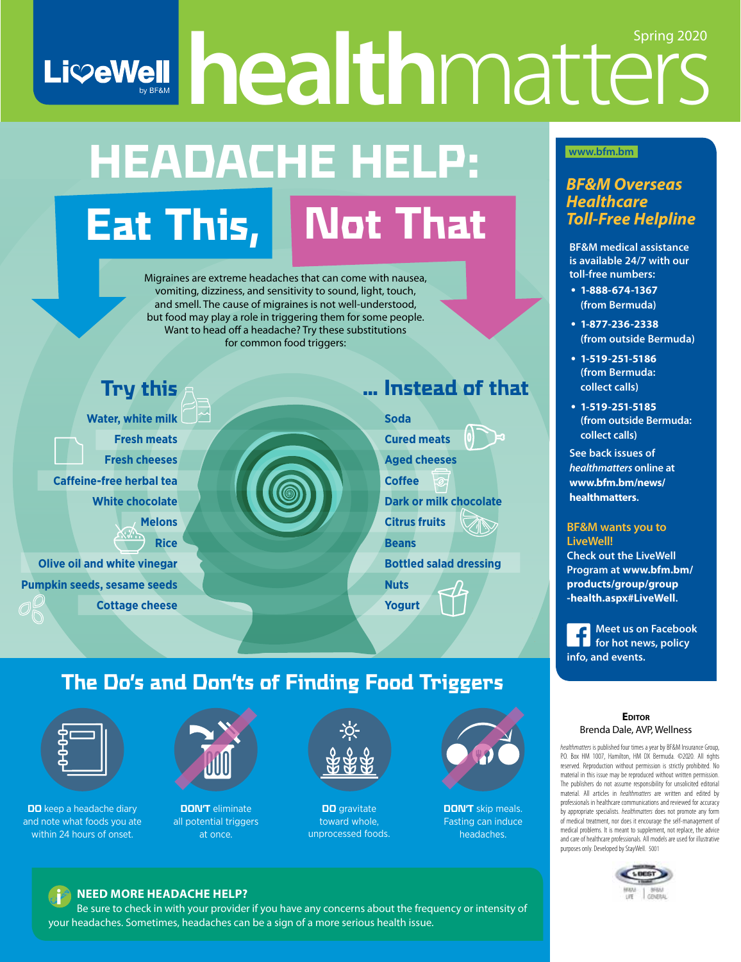# LiveWell healthmatters Spring 2020

# **HEADACHE HELP: Eat This, Not That**

Migraines are extreme headaches that can come with nausea, vomiting, dizziness, and sensitivity to sound, light, touch, and smell. The cause of migraines is not well-understood, but food may play a role in triggering them for some people. Want to head off a headache? Try these substitutions for common food triggers:



## **The Do's and Don'ts of Finding Food Triggers**



**DO** keep a headache diary and note what foods you ate within 24 hours of onset.



**DON'T** eliminate all potential triggers at once.



**DO** gravitate toward whole, unprocessed foods.



**DON'T** skip meals. Fasting can induce headaches.

## **www.bfm.bm**

## *BF&M Overseas Healthcare Toll-Free Helpline*

**BF&M medical assistance is available 24/7 with our toll-free numbers:**

- **1-888-674-1367 (from Bermuda)**
- **1-877-236-2338 (from outside Bermuda)**
- **1-519-251-5186 (from Bermuda: collect calls)**
- **1-519-251-5185 (from outside Bermuda: collect calls)**

**See back issues of**  *healthmatters* **online at www.bfm.bm/news/ healthmatters.**

## **BF&M wants you to**

**Check out the LiveWell Program at www.bfm.bm/ products/group/group -health.aspx#LiveWell.** 

**Meet us on Facebook f** *f f for hot news, policy* **info, and events.**

#### **EDITOR** Brenda Dale, AVP, Wellness

*healthmatters* is published four times a year by BF&M Insurance Group, P.O. Box HM 1007, Hamilton, HM DX Bermuda. ©2020. All rights reserved. Reproduction without permission is strictly prohibited. No material in this issue may be reproduced without written permission. The publishers do not assume responsibility for unsolicited editorial material. All articles in *healthmatters* are written and edited by professionals in healthcare communications and reviewed for accuracy by appropriate specialists. *healthmatters* does not promote any form of medical treatment, nor does it encourage the self-management of medical problems. It is meant to supplement, not replace, the advice and care of healthcare professionals. All models are used for illustrative purposes only. Developed by StayWell. 5001



## i **NEED MORE HEADACHE HELP?**

Be sure to check in with your provider if you have any concerns about the frequency or intensity of your headaches. Sometimes, headaches can be a sign of a more serious health issue.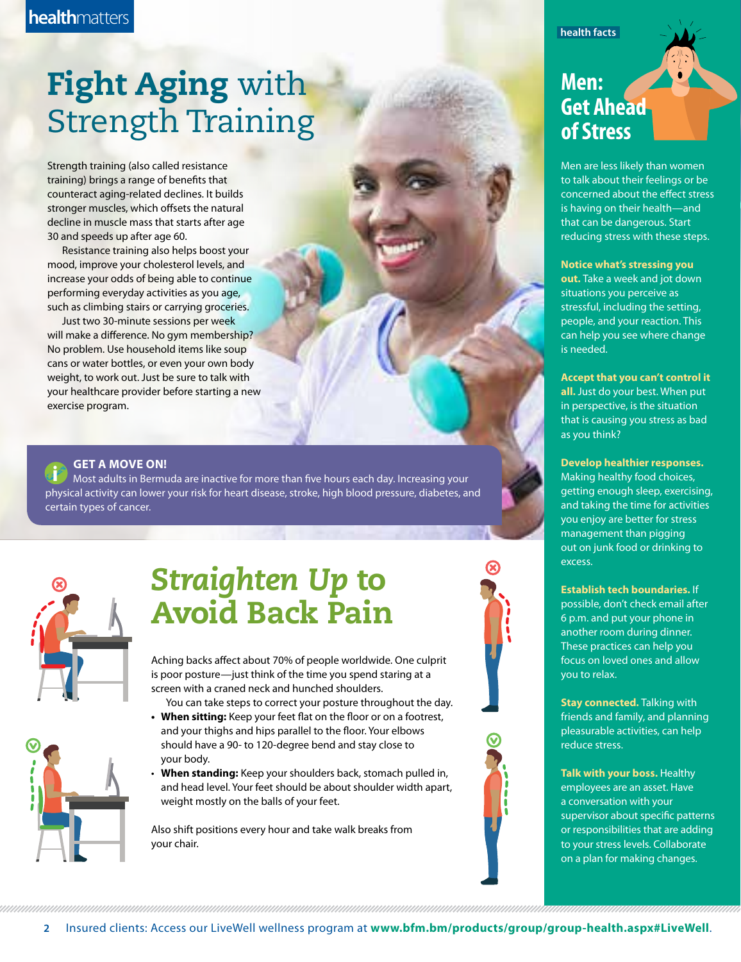## **Fight Aging with** Strength Training

Strength training (also called resistance training) brings a range of benefits that counteract aging-related declines. It builds stronger muscles, which offsets the natural decline in muscle mass that starts after age 30 and speeds up after age 60.

Resistance training also helps boost your mood, improve your cholesterol levels, and increase your odds of being able to continue performing everyday activities as you age, such as climbing stairs or carrying groceries.

Just two 30-minute sessions per week will make a difference. No gym membership? No problem. Use household items like soup cans or water bottles, or even your own body weight, to work out. Just be sure to talk with your healthcare provider before starting a new exercise program.

**GET A MOVE ON!**<br>Most adults in Bermuda are inactive for more than five hours each day. Increasing your physical activity can lower your risk for heart disease, stroke, high blood pressure, diabetes, and certain types of cancer.



## *Straighten Up* to Avoid Back Pain

Aching backs affect about 70% of people worldwide. One culprit is poor posture—just think of the time you spend staring at a screen with a craned neck and hunched shoulders.

You can take steps to correct your posture throughout the day. **• When sitting:** Keep your feet flat on the floor or on a footrest,

and your thighs and hips parallel to the floor. Your elbows should have a 90- to 120-degree bend and stay close to your body.

• **When standing:** Keep your shoulders back, stomach pulled in, and head level. Your feet should be about shoulder width apart, weight mostly on the balls of your feet.

Also shift positions every hour and take walk breaks from your chair.

## **health facts**

## **Men: Get Ahead of Stress**

Men are less likely than women to talk about their feelings or be concerned about the effect stress is having on their health—and that can be dangerous. Start reducing stress with these steps.

#### **Notice what's stressing you**

**out.** Take a week and jot down situations you perceive as stressful, including the setting, people, and your reaction. This can help you see where change is needed.

**Accept that you can't control it all.** Just do your best. When put in perspective, is the situation that is causing you stress as bad as you think?

### **Develop healthier responses.**

Making healthy food choices, getting enough sleep, exercising, and taking the time for activities you enjoy are better for stress management than pigging out on junk food or drinking to excess.

### **Establish tech boundaries.** If

possible, don't check email after 6 p.m. and put your phone in another room during dinner. These practices can help you focus on loved ones and allow you to relax.

**Stay connected.** Talking with friends and family, and planning pleasurable activities, can help reduce stress.

**Talk with your boss.** Healthy employees are an asset. Have a conversation with your supervisor about specific patterns or responsibilities that are adding to your stress levels. Collaborate on a plan for making changes.